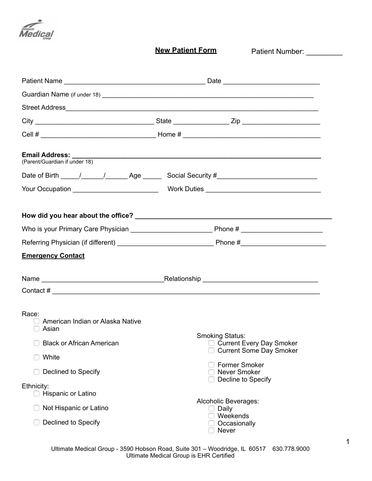

**New Patient Form**

Patient Number: \_\_\_\_\_\_\_\_\_\_

| (Parent/Guardian if under 18)                      |                                                                                                                                                                                                                                                                                                                 |  |  |
|----------------------------------------------------|-----------------------------------------------------------------------------------------------------------------------------------------------------------------------------------------------------------------------------------------------------------------------------------------------------------------|--|--|
|                                                    |                                                                                                                                                                                                                                                                                                                 |  |  |
|                                                    |                                                                                                                                                                                                                                                                                                                 |  |  |
|                                                    |                                                                                                                                                                                                                                                                                                                 |  |  |
|                                                    |                                                                                                                                                                                                                                                                                                                 |  |  |
|                                                    |                                                                                                                                                                                                                                                                                                                 |  |  |
| <b>Emergency Contact</b>                           |                                                                                                                                                                                                                                                                                                                 |  |  |
|                                                    |                                                                                                                                                                                                                                                                                                                 |  |  |
|                                                    | Contact # $\frac{1}{2}$ $\frac{1}{2}$ $\frac{1}{2}$ $\frac{1}{2}$ $\frac{1}{2}$ $\frac{1}{2}$ $\frac{1}{2}$ $\frac{1}{2}$ $\frac{1}{2}$ $\frac{1}{2}$ $\frac{1}{2}$ $\frac{1}{2}$ $\frac{1}{2}$ $\frac{1}{2}$ $\frac{1}{2}$ $\frac{1}{2}$ $\frac{1}{2}$ $\frac{1}{2}$ $\frac{1}{2}$ $\frac{1}{2}$ $\frac{1}{2}$ |  |  |
| Race:<br>American Indian or Alaska Native<br>Asian | <b>Smoking Status:</b>                                                                                                                                                                                                                                                                                          |  |  |
| <b>Black or African American</b><br>U              | □ Current Every Day Smoker<br><b>Current Some Day Smoker</b>                                                                                                                                                                                                                                                    |  |  |
| White                                              | <b>Former Smoker</b>                                                                                                                                                                                                                                                                                            |  |  |
| Declined to Specify                                | <b>Never Smoker</b><br>Decline to Specify                                                                                                                                                                                                                                                                       |  |  |
| Ethnicity:<br>Hispanic or Latino                   |                                                                                                                                                                                                                                                                                                                 |  |  |
| Not Hispanic or Latino                             | Alcoholic Beverages:<br>Daily<br>Weekends                                                                                                                                                                                                                                                                       |  |  |
| Declined to Specify                                | Occasionally<br>Never                                                                                                                                                                                                                                                                                           |  |  |

1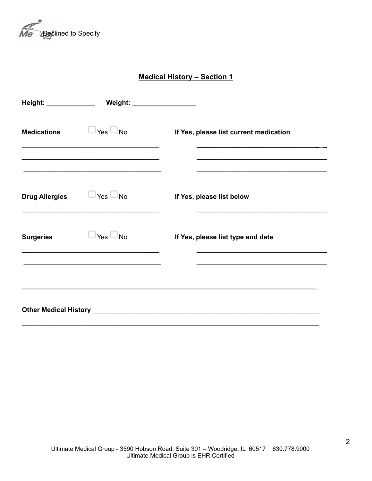

**Medical History – Section 1**

| Height: _____________ | Weight: _________________                 |                                                                                                                                     |
|-----------------------|-------------------------------------------|-------------------------------------------------------------------------------------------------------------------------------------|
| <b>Medications</b>    | $\sqcup$ Yes $\Box$ No                    | If Yes, please list current medication<br>the control of the control of the control of the control of the control of the control of |
| <b>Drug Allergies</b> | $\mathsf{Yes} \mathrel{\Box} \mathsf{No}$ | If Yes, please list below                                                                                                           |
| <b>Surgeries</b>      | ⊐Yes □No                                  | If Yes, please list type and date                                                                                                   |
|                       |                                           |                                                                                                                                     |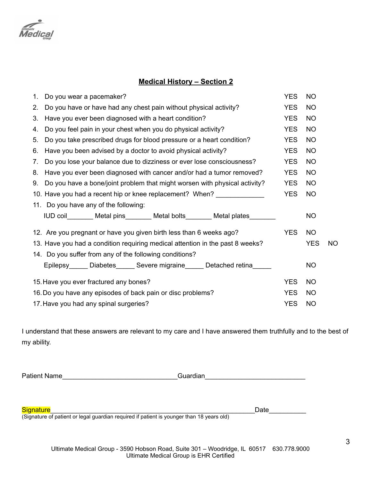

## **Medical History – Section 2**

| 1.                                     | Do you wear a pacemaker?                                                      | <b>YES</b> | <b>NO</b> |     |
|----------------------------------------|-------------------------------------------------------------------------------|------------|-----------|-----|
| $2_{\cdot}$                            | Do you have or have had any chest pain without physical activity?             | <b>YES</b> | <b>NO</b> |     |
| 3.                                     | Have you ever been diagnosed with a heart condition?                          | <b>YES</b> | <b>NO</b> |     |
| 4.                                     | Do you feel pain in your chest when you do physical activity?                 | <b>YES</b> | <b>NO</b> |     |
| 5.                                     | Do you take prescribed drugs for blood pressure or a heart condition?         | <b>YES</b> | <b>NO</b> |     |
| 6.                                     | Have you been advised by a doctor to avoid physical activity?                 | <b>YES</b> | <b>NO</b> |     |
| 7.                                     | Do you lose your balance due to dizziness or ever lose consciousness?         | <b>YES</b> | <b>NO</b> |     |
| 8.                                     | Have you ever been diagnosed with cancer and/or had a tumor removed?          | <b>YES</b> | <b>NO</b> |     |
|                                        | 9. Do you have a bone/joint problem that might worsen with physical activity? | <b>YES</b> | <b>NO</b> |     |
|                                        | 10. Have you had a recent hip or knee replacement? When?                      | <b>YES</b> | <b>NO</b> |     |
|                                        | 11. Do you have any of the following:                                         |            |           |     |
|                                        | IUD coil________ Metal pins_______ Metal bolts_______ Metal plates_______     |            | <b>NO</b> |     |
|                                        | 12. Are you pregnant or have you given birth less than 6 weeks ago?           | <b>YES</b> | <b>NO</b> |     |
|                                        | 13. Have you had a condition requiring medical attention in the past 8 weeks? |            |           | NO. |
|                                        | 14. Do you suffer from any of the following conditions?                       |            |           |     |
|                                        | Epilepsy______ Diabetes______ Severe migraine______ Detached retina_____      |            | <b>NO</b> |     |
| 15. Have you ever fractured any bones? |                                                                               |            | <b>NO</b> |     |
|                                        | 16. Do you have any episodes of back pain or disc problems?                   |            |           |     |
| 17. Have you had any spinal surgeries? |                                                                               |            | <b>NO</b> |     |

I understand that these answers are relevant to my care and I have answered them truthfully and to the best of my ability.

Patient Name\_\_\_\_\_\_\_\_\_\_\_\_\_\_\_\_\_\_\_\_\_\_\_\_\_\_\_\_\_\_\_Guardian\_\_\_\_\_\_\_\_\_\_\_\_\_\_\_\_\_\_\_\_\_\_\_\_\_\_\_

Signature\_\_\_\_\_\_\_\_\_\_\_\_\_\_\_\_\_\_\_\_\_\_\_\_\_\_\_\_\_\_\_\_\_\_\_\_\_\_\_\_\_\_\_\_\_\_\_\_\_\_\_\_\_\_\_Date\_\_\_\_\_\_\_\_\_\_

(Signature of patient or legal guardian required if patient is younger than 18 years old)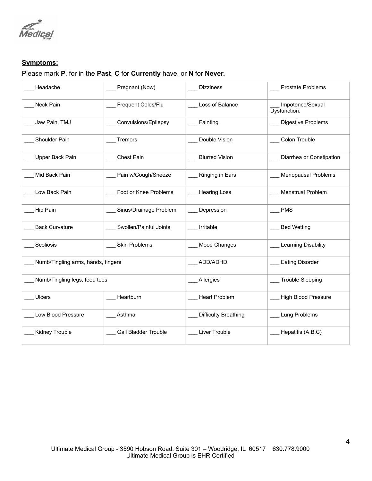

## **Symptoms:**

## Please mark **P**, for in the **Past**, **C** for **Currently** have, or **N** for **Never.**

| Headache                           | Pregnant (Now)              | <b>Dizziness</b>            | <b>Prostate Problems</b>         |
|------------------------------------|-----------------------------|-----------------------------|----------------------------------|
| Neck Pain                          | Frequent Colds/Flu          | Loss of Balance             | Impotence/Sexual<br>Dysfunction. |
| Jaw Pain, TMJ                      | Convulsions/Epilepsy        | Fainting                    | Digestive Problems               |
| Shoulder Pain                      | Tremors                     | Double Vision               | Colon Trouble                    |
| Upper Back Pain                    | <b>Chest Pain</b>           | <b>Blurred Vision</b>       | Diarrhea or Constipation         |
| Mid Back Pain                      | _ Pain w/Cough/Sneeze       | Ringing in Ears             | Menopausal Problems              |
| Low Back Pain                      | Foot or Knee Problems       | <b>Hearing Loss</b>         | Menstrual Problem                |
| Hip Pain                           | _ Sinus/Drainage Problem    | Depression                  | <b>PMS</b>                       |
| <b>Back Curvature</b>              | Swollen/Painful Joints      | Irritable                   | <b>Bed Wetting</b>               |
| Scoliosis                          | Skin Problems               | Mood Changes                | Learning Disability              |
| Numb/Tingling arms, hands, fingers |                             | ADD/ADHD                    | <b>Eating Disorder</b>           |
| Numb/Tingling legs, feet, toes     |                             | _Allergies                  | <b>Trouble Sleeping</b>          |
| <b>Ulcers</b>                      | Heartburn                   | <b>Heart Problem</b>        | <b>High Blood Pressure</b>       |
| Low Blood Pressure                 | Asthma                      | <b>Difficulty Breathing</b> | Lung Problems                    |
| Kidney Trouble                     | <b>Gall Bladder Trouble</b> | Liver Trouble               | Hepatitis (A,B,C)                |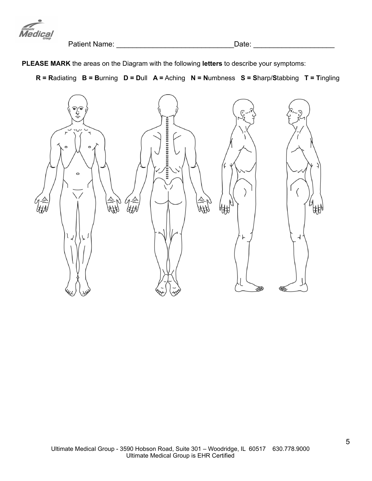

Patient Name: \_\_\_\_\_\_\_\_\_\_\_\_\_\_\_\_\_\_\_\_\_\_\_\_\_\_\_\_\_Date: \_\_\_\_\_\_\_\_\_\_\_\_\_\_\_\_\_\_\_\_

**PLEASE MARK** the areas on the Diagram with the following **letters** to describe your symptoms:

**R = R**adiating **B = B**urning **D = D**ull **A =** Aching **N = N**umbness **S = S**harp/**S**tabbing **T = T**ingling